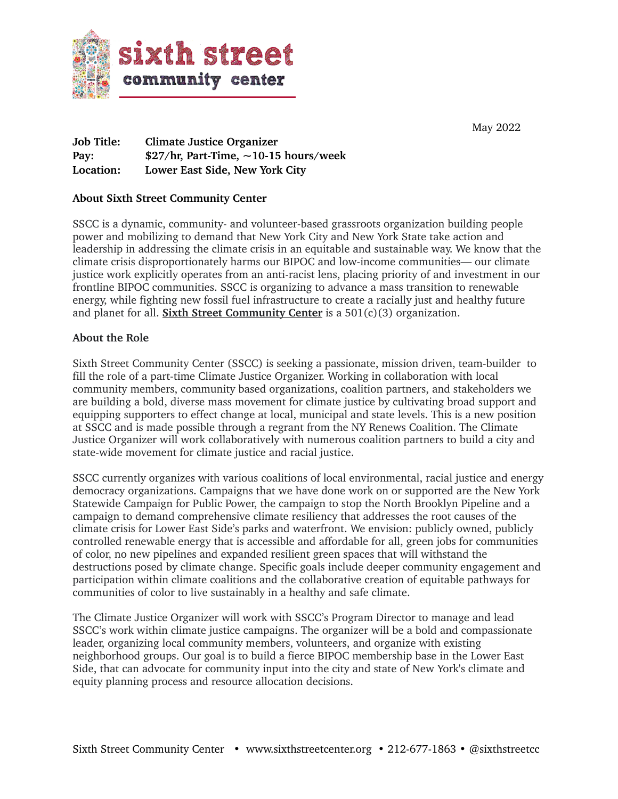

May 2022

**Job Title: Climate Justice Organizer Pay: \$27/hr, Part-Time, ~10-15 hours/week Location: Lower East Side, New York City**

### **About Sixth Street Community Center**

SSCC is a dynamic, community- and volunteer-based grassroots organization building people power and mobilizing to demand that New York City and New York State take action and leadership in addressing the climate crisis in an equitable and sustainable way. We know that the climate crisis disproportionately harms our BIPOC and low-income communities— our climate justice work explicitly operates from an anti-racist lens, placing priority of and investment in our frontline BIPOC communities. SSCC is organizing to advance a mass transition to renewable energy, while fighting new fossil fuel infrastructure to create a racially just and healthy future and planet for all. **[Sixth Street Community Center](http://www.sixthstreetcenter.org)** is a 501(c)(3) organization.

### **About the Role**

Sixth Street Community Center (SSCC) is seeking a passionate, mission driven, team-builder to fill the role of a part-time Climate Justice Organizer. Working in collaboration with local community members, community based organizations, coalition partners, and stakeholders we are building a bold, diverse mass movement for climate justice by cultivating broad support and equipping supporters to effect change at local, municipal and state levels. This is a new position at SSCC and is made possible through a regrant from the NY Renews Coalition. The Climate Justice Organizer will work collaboratively with numerous coalition partners to build a city and state-wide movement for climate justice and racial justice.

SSCC currently organizes with various coalitions of local environmental, racial justice and energy democracy organizations. Campaigns that we have done work on or supported are the New York Statewide Campaign for Public Power, the campaign to stop the North Brooklyn Pipeline and a campaign to demand comprehensive climate resiliency that addresses the root causes of the climate crisis for Lower East Side's parks and waterfront. We envision: publicly owned, publicly controlled renewable energy that is accessible and affordable for all, green jobs for communities of color, no new pipelines and expanded resilient green spaces that will withstand the destructions posed by climate change. Specific goals include deeper community engagement and participation within climate coalitions and the collaborative creation of equitable pathways for communities of color to live sustainably in a healthy and safe climate.

The Climate Justice Organizer will work with SSCC's Program Director to manage and lead SSCC's work within climate justice campaigns. The organizer will be a bold and compassionate leader, organizing local community members, volunteers, and organize with existing neighborhood groups. Our goal is to build a fierce BIPOC membership base in the Lower East Side, that can advocate for community input into the city and state of New York's climate and equity planning process and resource allocation decisions.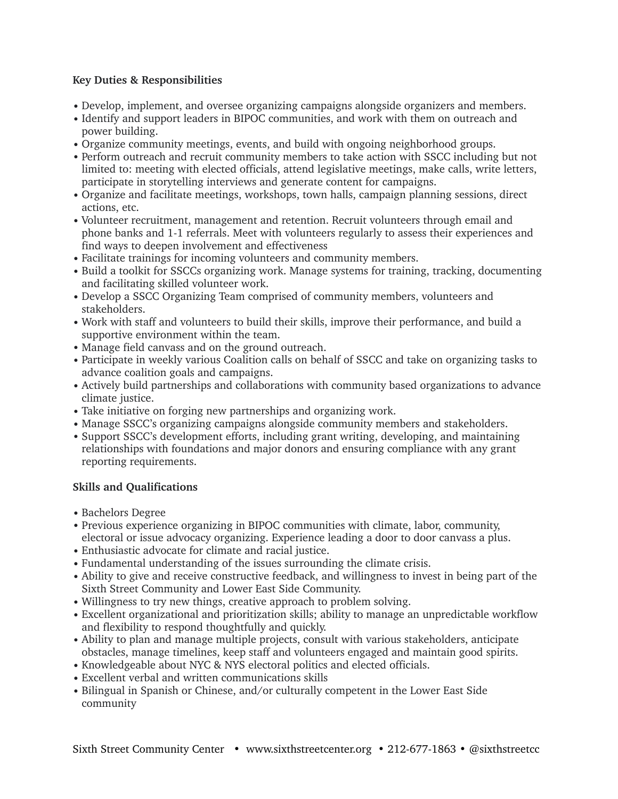# **Key Duties & Responsibilities**

- Develop, implement, and oversee organizing campaigns alongside organizers and members.
- Identify and support leaders in BIPOC communities, and work with them on outreach and power building.
- Organize community meetings, events, and build with ongoing neighborhood groups.
- Perform outreach and recruit community members to take action with SSCC including but not limited to: meeting with elected officials, attend legislative meetings, make calls, write letters, participate in storytelling interviews and generate content for campaigns.
- Organize and facilitate meetings, workshops, town halls, campaign planning sessions, direct actions, etc.
- Volunteer recruitment, management and retention. Recruit volunteers through email and phone banks and 1-1 referrals. Meet with volunteers regularly to assess their experiences and find ways to deepen involvement and effectiveness
- Facilitate trainings for incoming volunteers and community members.
- Build a toolkit for SSCCs organizing work. Manage systems for training, tracking, documenting and facilitating skilled volunteer work.
- Develop a SSCC Organizing Team comprised of community members, volunteers and stakeholders.
- Work with staff and volunteers to build their skills, improve their performance, and build a supportive environment within the team.
- Manage field canvass and on the ground outreach.
- Participate in weekly various Coalition calls on behalf of SSCC and take on organizing tasks to advance coalition goals and campaigns.
- Actively build partnerships and collaborations with community based organizations to advance climate justice.
- Take initiative on forging new partnerships and organizing work.
- Manage SSCC's organizing campaigns alongside community members and stakeholders.
- Support SSCC's development efforts, including grant writing, developing, and maintaining relationships with foundations and major donors and ensuring compliance with any grant reporting requirements.

# **Skills and Qualifications**

- Bachelors Degree
- Previous experience organizing in BIPOC communities with climate, labor, community, electoral or issue advocacy organizing. Experience leading a door to door canvass a plus.
- Enthusiastic advocate for climate and racial justice.
- Fundamental understanding of the issues surrounding the climate crisis.
- Ability to give and receive constructive feedback, and willingness to invest in being part of the Sixth Street Community and Lower East Side Community.
- Willingness to try new things, creative approach to problem solving.
- Excellent organizational and prioritization skills; ability to manage an unpredictable workflow and flexibility to respond thoughtfully and quickly.
- Ability to plan and manage multiple projects, consult with various stakeholders, anticipate obstacles, manage timelines, keep staff and volunteers engaged and maintain good spirits.
- Knowledgeable about NYC & NYS electoral politics and elected officials.
- Excellent verbal and written communications skills
- Bilingual in Spanish or Chinese, and/or culturally competent in the Lower East Side community